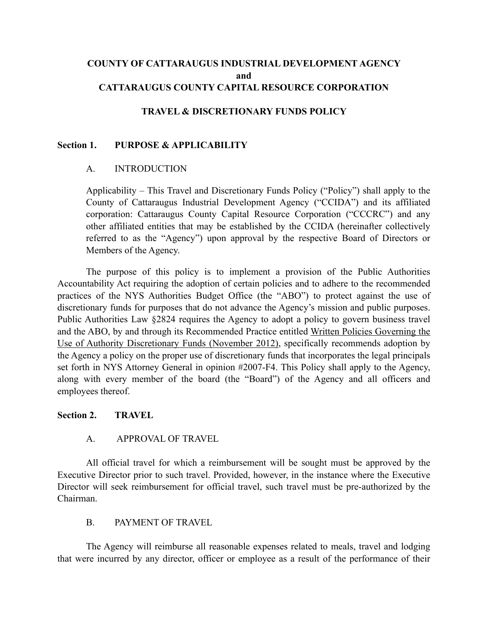## **COUNTY OF CATTARAUGUS INDUSTRIAL DEVELOPMENT AGENCY and CATTARAUGUS COUNTY CAPITAL RESOURCE CORPORATION**

### **TRAVEL & DISCRETIONARY FUNDS POLICY**

#### **Section 1. PURPOSE & APPLICABILITY**

### A. INTRODUCTION

Applicability – This Travel and Discretionary Funds Policy ("Policy") shall apply to the County of Cattaraugus Industrial Development Agency ("CCIDA") and its affiliated corporation: Cattaraugus County Capital Resource Corporation ("CCCRC") and any other affiliated entities that may be established by the CCIDA (hereinafter collectively referred to as the "Agency") upon approval by the respective Board of Directors or Members of the Agency.

The purpose of this policy is to implement a provision of the Public Authorities Accountability Act requiring the adoption of certain policies and to adhere to the recommended practices of the NYS Authorities Budget Office (the "ABO") to protect against the use of discretionary funds for purposes that do not advance the Agency's mission and public purposes. Public Authorities Law §2824 requires the Agency to adopt a policy to govern business travel and the ABO, by and through its Recommended Practice entitled Written Policies Governing the Use of Authority Discretionary Funds (November 2012), specifically recommends adoption by the Agency a policy on the proper use of discretionary funds that incorporates the legal principals set forth in NYS Attorney General in opinion #2007-F4. This Policy shall apply to the Agency, along with every member of the board (the "Board") of the Agency and all officers and employees thereof.

#### **Section 2. TRAVEL**

#### A. APPROVAL OF TRAVEL

All official travel for which a reimbursement will be sought must be approved by the Executive Director prior to such travel. Provided, however, in the instance where the Executive Director will seek reimbursement for official travel, such travel must be pre-authorized by the Chairman.

#### B. PAYMENT OF TRAVEL

The Agency will reimburse all reasonable expenses related to meals, travel and lodging that were incurred by any director, officer or employee as a result of the performance of their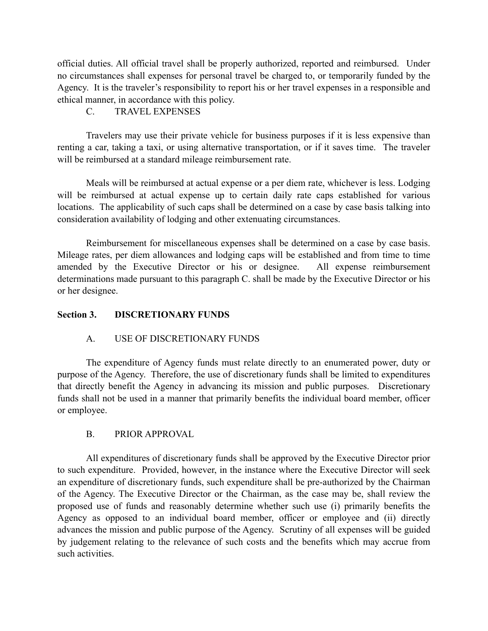official duties. All official travel shall be properly authorized, reported and reimbursed. Under no circumstances shall expenses for personal travel be charged to, or temporarily funded by the Agency. It is the traveler's responsibility to report his or her travel expenses in a responsible and ethical manner, in accordance with this policy.

# C. TRAVEL EXPENSES

Travelers may use their private vehicle for business purposes if it is less expensive than renting a car, taking a taxi, or using alternative transportation, or if it saves time. The traveler will be reimbursed at a standard mileage reimbursement rate.

Meals will be reimbursed at actual expense or a per diem rate, whichever is less. Lodging will be reimbursed at actual expense up to certain daily rate caps established for various locations. The applicability of such caps shall be determined on a case by case basis talking into consideration availability of lodging and other extenuating circumstances.

Reimbursement for miscellaneous expenses shall be determined on a case by case basis. Mileage rates, per diem allowances and lodging caps will be established and from time to time amended by the Executive Director or his or designee. All expense reimbursement determinations made pursuant to this paragraph C. shall be made by the Executive Director or his or her designee.

### **Section 3. DISCRETIONARY FUNDS**

# A. USE OF DISCRETIONARY FUNDS

The expenditure of Agency funds must relate directly to an enumerated power, duty or purpose of the Agency. Therefore, the use of discretionary funds shall be limited to expenditures that directly benefit the Agency in advancing its mission and public purposes. Discretionary funds shall not be used in a manner that primarily benefits the individual board member, officer or employee.

# B. PRIOR APPROVAL

All expenditures of discretionary funds shall be approved by the Executive Director prior to such expenditure. Provided, however, in the instance where the Executive Director will seek an expenditure of discretionary funds, such expenditure shall be pre-authorized by the Chairman of the Agency. The Executive Director or the Chairman, as the case may be, shall review the proposed use of funds and reasonably determine whether such use (i) primarily benefits the Agency as opposed to an individual board member, officer or employee and (ii) directly advances the mission and public purpose of the Agency. Scrutiny of all expenses will be guided by judgement relating to the relevance of such costs and the benefits which may accrue from such activities.